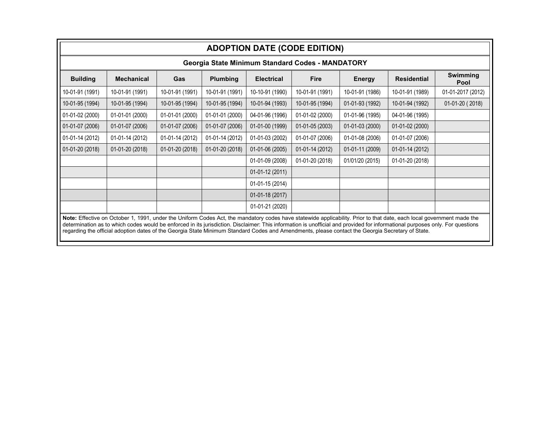| <b>ADOPTION DATE (CODE EDITION)</b>                                                                                                                                                                                                                                                                                                                                                                                                                                                                        |                   |                 |                 |                   |                  |                 |                    |                   |  |  |
|------------------------------------------------------------------------------------------------------------------------------------------------------------------------------------------------------------------------------------------------------------------------------------------------------------------------------------------------------------------------------------------------------------------------------------------------------------------------------------------------------------|-------------------|-----------------|-----------------|-------------------|------------------|-----------------|--------------------|-------------------|--|--|
| Georgia State Minimum Standard Codes - MANDATORY                                                                                                                                                                                                                                                                                                                                                                                                                                                           |                   |                 |                 |                   |                  |                 |                    |                   |  |  |
| <b>Building</b>                                                                                                                                                                                                                                                                                                                                                                                                                                                                                            | <b>Mechanical</b> | Gas             | <b>Plumbing</b> | <b>Electrical</b> | <b>Fire</b>      | Energy          | <b>Residential</b> | Swimming<br>Pool  |  |  |
| 10-01-91 (1991)                                                                                                                                                                                                                                                                                                                                                                                                                                                                                            | 10-01-91 (1991)   | 10-01-91 (1991) | 10-01-91 (1991) | 10-10-91 (1990)   | 10-01-91 (1991)  | 10-01-91 (1986) | 10-01-91 (1989)    | 01-01-2017 (2012) |  |  |
| 10-01-95 (1994)                                                                                                                                                                                                                                                                                                                                                                                                                                                                                            | 10-01-95 (1994)   | 10-01-95 (1994) | 10-01-95 (1994) | 10-01-94 (1993)   | 10-01-95 (1994)  | 01-01-93 (1992) | 10-01-94 (1992)    | $01-01-20(2018)$  |  |  |
| $\big  01 - 01 - 02(2000)$                                                                                                                                                                                                                                                                                                                                                                                                                                                                                 | 01-01-01 (2000)   | 01-01-01 (2000) | 01-01-01 (2000) | 04-01-96 (1996)   | 01-01-02 (2000)  | 01-01-96 (1995) | 04-01-96 (1995)    |                   |  |  |
| $01-01-07(2006)$                                                                                                                                                                                                                                                                                                                                                                                                                                                                                           | 01-01-07 (2006)   | 01-01-07 (2006) | 01-01-07 (2006) | 01-01-00 (1999)   | 01-01-05 (2003)  | 01-01-03 (2000) | 01-01-02 (2000)    |                   |  |  |
| $\bigcup$ 01-01-14 (2012)                                                                                                                                                                                                                                                                                                                                                                                                                                                                                  | 01-01-14 (2012)   | 01-01-14 (2012) | 01-01-14 (2012) | 01-01-03 (2002)   | 01-01-07 (2006)  | 01-01-08 (2006) | 01-01-07 (2006)    |                   |  |  |
| $01-01-20(2018)$                                                                                                                                                                                                                                                                                                                                                                                                                                                                                           | 01-01-20 (2018)   | 01-01-20 (2018) | 01-01-20 (2018) | 01-01-06 (2005)   | $01-01-14(2012)$ | 01-01-11 (2009) | 01-01-14 (2012)    |                   |  |  |
|                                                                                                                                                                                                                                                                                                                                                                                                                                                                                                            |                   |                 |                 | 01-01-09 (2008)   | 01-01-20 (2018)  | 01/01/20 (2015) | 01-01-20 (2018)    |                   |  |  |
|                                                                                                                                                                                                                                                                                                                                                                                                                                                                                                            |                   |                 |                 | $01-01-12(2011)$  |                  |                 |                    |                   |  |  |
|                                                                                                                                                                                                                                                                                                                                                                                                                                                                                                            |                   |                 |                 | 01-01-15 (2014)   |                  |                 |                    |                   |  |  |
|                                                                                                                                                                                                                                                                                                                                                                                                                                                                                                            |                   |                 |                 | 01-01-18 (2017)   |                  |                 |                    |                   |  |  |
|                                                                                                                                                                                                                                                                                                                                                                                                                                                                                                            |                   |                 |                 | 01-01-21 (2020)   |                  |                 |                    |                   |  |  |
| Note: Effective on October 1, 1991, under the Uniform Codes Act, the mandatory codes have statewide applicability. Prior to that date, each local government made the<br>determination as to which codes would be enforced in its jurisdiction. Disclaimer: This information is unofficial and provided for informational purposes only. For questions<br>regarding the official adoption dates of the Georgia State Minimum Standard Codes and Amendments, please contact the Georgia Secretary of State. |                   |                 |                 |                   |                  |                 |                    |                   |  |  |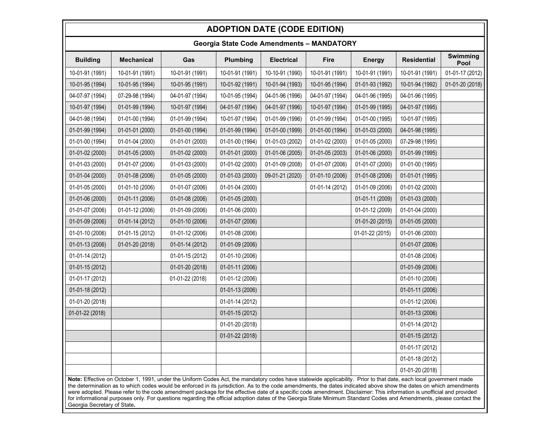## **ADOPTION DATE (CODE EDITION)**

| <b>Georgia State Code Amendments - MANDATORY</b>                                                                                                                                                                                                                                                                                                                                                                                                                                                                                                                                                                                                                                                                       |                   |                 |                 |                   |                 |                 |                    |                  |  |  |
|------------------------------------------------------------------------------------------------------------------------------------------------------------------------------------------------------------------------------------------------------------------------------------------------------------------------------------------------------------------------------------------------------------------------------------------------------------------------------------------------------------------------------------------------------------------------------------------------------------------------------------------------------------------------------------------------------------------------|-------------------|-----------------|-----------------|-------------------|-----------------|-----------------|--------------------|------------------|--|--|
| <b>Building</b>                                                                                                                                                                                                                                                                                                                                                                                                                                                                                                                                                                                                                                                                                                        | <b>Mechanical</b> | Gas             | Plumbing        | <b>Electrical</b> | <b>Fire</b>     | <b>Energy</b>   | <b>Residential</b> | Swimming<br>Pool |  |  |
| 10-01-91 (1991)                                                                                                                                                                                                                                                                                                                                                                                                                                                                                                                                                                                                                                                                                                        | 10-01-91 (1991)   | 10-01-91 (1991) | 10-01-91 (1991) | 10-10-91 (1990)   | 10-01-91 (1991) | 10-01-91 (1991) | 10-01-91 (1991)    | 01-01-17 (2012)  |  |  |
| 10-01-95 (1994)                                                                                                                                                                                                                                                                                                                                                                                                                                                                                                                                                                                                                                                                                                        | 10-01-95 (1994)   | 10-01-95 (1991) | 10-01-92 (1991) | 10-01-94 (1993)   | 10-01-95 (1994) | 01-01-93 (1992) | 10-01-94 (1992)    | 01-01-20 (2018)  |  |  |
| 04-07-97 (1994)                                                                                                                                                                                                                                                                                                                                                                                                                                                                                                                                                                                                                                                                                                        | 07-29-98 (1994)   | 04-01-97 (1994) | 10-01-95 (1994) | 04-01-96 (1996)   | 04-01-97 (1994) | 04-01-96 (1995) | 04-01-96 (1995)    |                  |  |  |
| 10-01-97 (1994)                                                                                                                                                                                                                                                                                                                                                                                                                                                                                                                                                                                                                                                                                                        | 01-01-99 (1994)   | 10-01-97 (1994) | 04-01-97 (1994) | 04-01-97 (1996)   | 10-01-97 (1994) | 01-01-99 (1995) | 04-01-97 (1995)    |                  |  |  |
| 04-01-98 (1994)                                                                                                                                                                                                                                                                                                                                                                                                                                                                                                                                                                                                                                                                                                        | 01-01-00 (1994)   | 01-01-99 (1994) | 10-01-97 (1994) | 01-01-99 (1996)   | 01-01-99 (1994) | 01-01-00 (1995) | 10-01-97 (1995)    |                  |  |  |
| 01-01-99 (1994)                                                                                                                                                                                                                                                                                                                                                                                                                                                                                                                                                                                                                                                                                                        | 01-01-01 (2000)   | 01-01-00 (1994) | 01-01-99 (1994) | 01-01-00 (1999)   | 01-01-00 (1994) | 01-01-03 (2000) | 04-01-98 (1995)    |                  |  |  |
| 01-01-00 (1994)                                                                                                                                                                                                                                                                                                                                                                                                                                                                                                                                                                                                                                                                                                        | 01-01-04 (2000)   | 01-01-01 (2000) | 01-01-00 (1994) | 01-01-03 (2002)   | 01-01-02 (2000) | 01-01-05 (2000) | 07-29-98 (1995)    |                  |  |  |
| 01-01-02 (2000)                                                                                                                                                                                                                                                                                                                                                                                                                                                                                                                                                                                                                                                                                                        | 01-01-05 (2000)   | 01-01-02 (2000) | 01-01-01 (2000) | 01-01-06 (2005)   | 01-01-05 (2003) | 01-01-06 (2000) | 01-01-99 (1995)    |                  |  |  |
| 01-01-03 (2000)                                                                                                                                                                                                                                                                                                                                                                                                                                                                                                                                                                                                                                                                                                        | 01-01-07 (2006)   | 01-01-03 (2000) | 01-01-02 (2000) | 01-01-09 (2008)   | 01-01-07 (2006) | 01-01-07 (2000) | 01-01-00 (1995)    |                  |  |  |
| 01-01-04 (2000)                                                                                                                                                                                                                                                                                                                                                                                                                                                                                                                                                                                                                                                                                                        | 01-01-08 (2006)   | 01-01-05 (2000) | 01-01-03 (2000) | 09-01-21 (2020)   | 01-01-10 (2006) | 01-01-08 (2006) | 01-01-01 (1995)    |                  |  |  |
| 01-01-05 (2000)                                                                                                                                                                                                                                                                                                                                                                                                                                                                                                                                                                                                                                                                                                        | 01-01-10 (2006)   | 01-01-07 (2006) | 01-01-04 (2000) |                   | 01-01-14 (2012) | 01-01-09 (2006) | 01-01-02 (2000)    |                  |  |  |
| 01-01-06 (2000)                                                                                                                                                                                                                                                                                                                                                                                                                                                                                                                                                                                                                                                                                                        | 01-01-11 (2006)   | 01-01-08 (2006) | 01-01-05 (2000) |                   |                 | 01-01-11 (2009) | 01-01-03 (2000)    |                  |  |  |
| 01-01-07 (2006)                                                                                                                                                                                                                                                                                                                                                                                                                                                                                                                                                                                                                                                                                                        | 01-01-12 (2006)   | 01-01-09 (2006) | 01-01-06 (2000) |                   |                 | 01-01-12 (2009) | 01-01-04 (2000)    |                  |  |  |
| 01-01-09 (2006)                                                                                                                                                                                                                                                                                                                                                                                                                                                                                                                                                                                                                                                                                                        | 01-01-14 (2012)   | 01-01-10 (2006) | 01-01-07 (2006) |                   |                 | 01-01-20 (2015) | 01-01-05 (2000)    |                  |  |  |
| 01-01-10 (2006)                                                                                                                                                                                                                                                                                                                                                                                                                                                                                                                                                                                                                                                                                                        | 01-01-15 (2012)   | 01-01-12 (2006) | 01-01-08 (2006) |                   |                 | 01-01-22 (2015) | 01-01-06 (2000)    |                  |  |  |
| 01-01-13 (2006)                                                                                                                                                                                                                                                                                                                                                                                                                                                                                                                                                                                                                                                                                                        | 01-01-20 (2018)   | 01-01-14 (2012) | 01-01-09 (2006) |                   |                 |                 | 01-01-07 (2006)    |                  |  |  |
| 01-01-14 (2012)                                                                                                                                                                                                                                                                                                                                                                                                                                                                                                                                                                                                                                                                                                        |                   | 01-01-15 (2012) | 01-01-10 (2006) |                   |                 |                 | 01-01-08 (2006)    |                  |  |  |
| 01-01-15 (2012)                                                                                                                                                                                                                                                                                                                                                                                                                                                                                                                                                                                                                                                                                                        |                   | 01-01-20 (2018) | 01-01-11 (2006) |                   |                 |                 | 01-01-09 (2006)    |                  |  |  |
| 01-01-17 (2012)                                                                                                                                                                                                                                                                                                                                                                                                                                                                                                                                                                                                                                                                                                        |                   | 01-01-22 (2018) | 01-01-12 (2006) |                   |                 |                 | 01-01-10 (2006)    |                  |  |  |
| 01-01-18 (2012)                                                                                                                                                                                                                                                                                                                                                                                                                                                                                                                                                                                                                                                                                                        |                   |                 | 01-01-13 (2006) |                   |                 |                 | 01-01-11 (2006)    |                  |  |  |
| 01-01-20 (2018)                                                                                                                                                                                                                                                                                                                                                                                                                                                                                                                                                                                                                                                                                                        |                   |                 | 01-01-14 (2012) |                   |                 |                 | 01-01-12 (2006)    |                  |  |  |
| 01-01-22 (2018)                                                                                                                                                                                                                                                                                                                                                                                                                                                                                                                                                                                                                                                                                                        |                   |                 | 01-01-15 (2012) |                   |                 |                 | 01-01-13 (2006)    |                  |  |  |
|                                                                                                                                                                                                                                                                                                                                                                                                                                                                                                                                                                                                                                                                                                                        |                   |                 | 01-01-20 (2018) |                   |                 |                 | 01-01-14 (2012)    |                  |  |  |
|                                                                                                                                                                                                                                                                                                                                                                                                                                                                                                                                                                                                                                                                                                                        |                   |                 | 01-01-22 (2018) |                   |                 |                 | 01-01-15 (2012)    |                  |  |  |
|                                                                                                                                                                                                                                                                                                                                                                                                                                                                                                                                                                                                                                                                                                                        |                   |                 |                 |                   |                 |                 | 01-01-17 (2012)    |                  |  |  |
|                                                                                                                                                                                                                                                                                                                                                                                                                                                                                                                                                                                                                                                                                                                        |                   |                 |                 |                   |                 |                 | 01-01-18 (2012)    |                  |  |  |
|                                                                                                                                                                                                                                                                                                                                                                                                                                                                                                                                                                                                                                                                                                                        |                   |                 |                 |                   |                 |                 | 01-01-20 (2018)    |                  |  |  |
| Note: Effective on October 1, 1991, under the Uniform Codes Act, the mandatory codes have statewide applicability. Prior to that date, each local government made<br>the determination as to which codes would be enforced in its jurisdiction. As to the code amendments, the dates indicated above show the dates on which amendments<br>were adopted. Please refer to the code amendment package for the effective date of a specific code amendment. Disclaimer: This information is unofficial and provided<br>for informational purposes only. For questions regarding the official adoption dates of the Georgia State Minimum Standard Codes and Amendments, please contact the<br>Georgia Secretary of State. |                   |                 |                 |                   |                 |                 |                    |                  |  |  |